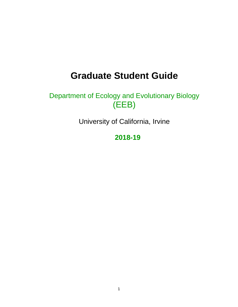# **Graduate Student Guide**

# Department of Ecology and Evolutionary Biology (EEB)

University of California, Irvine

**2018-19**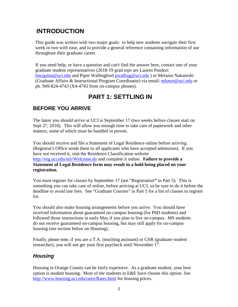## **INTRODUCTION**

This guide was written with two major goals: to help new students navigate their first week or two with ease, and to provide a general reference containing information of use throughout their graduate career.

If you need help, or have a question and can't find the answer here, contact one of your graduate student representatives (2018-19 grad reps are Lauren Pandori [lmcquinn@uci.edu](mailto:lmcquinn@uci.edu) and Piper Wallingford [pwalling@uci.edu](mailto:pwalling@uci.edu) ) or Melanie Nakanishi (Graduate Affairs & Instructional Program Coordinator) via email: [mhawe@uci.edu](mailto:mhawe@uci.edu) or ph. 949-824-4743 (X4-4743 from on-campus phones).

## **PART 1: SETTLING IN**

## **BEFORE YOU ARRIVE**

The latest you should arrive at UCI is September 17 (two weeks before classes start on Sept 27, 2018). This will allow you enough time to take care of paperwork and other matters, some of which must be handled in person.

You should receive and file a Statement of Legal Residence online before arriving (Registrar's Office sends them to all applicants who have accepted admission). If you have not received it, visit the Residence Classification website <http://reg.uci.edu/stlr/Welcome.do> and complete it online. **Failure to provide a Statement of Legal Residence form may result in a hold being placed on your registration.**

You must register for classes by September 17 (see "Registration**"** in Part 5). This is something you can take care of online, before arriving at UCI, so be sure to do it before the deadline to avoid late fees. See "Graduate Courses" in Part 5 for a list of classes to register for.

You should also make housing arrangements before you arrive. You should have received information about guaranteed on-campus housing (for PhD students) and followed those instructions in early May if you plan to live on-campus. MS students do not receive guaranteed on-campus housing, but may still apply for on-campus housing (see section below on Housing).

Finally, please note, if you are a T.A. (teaching assistant) or GSR (graduate student researcher), you will not get your first paycheck until November 1<sup>st</sup>.

### *Housing*

Housing in Orange County can be fairly expensive. As a graduate student, your best option is student housing. Most of the students in E&E have chosen this option. See <http://www.housing.uci.edu/rates/Rates.html> for housing prices.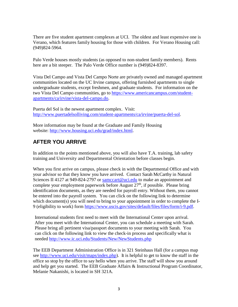There are five student apartment complexes at UCI. The oldest and least expensive one is Verano, which features family housing for those with children. For Verano Housing call: (949)824-5964.

Palo Verde houses mostly students (as opposed to non-student family members). Rents here are a bit steeper. The Palo Verde Office number is (949)824-8397.

Vista Del Campo and Vista Del Campo Norte are privately owned and managed apartment communities located on the UC Irvine campus, offering furnished apartments to single undergraduate students, except freshmen, and graduate students. For information on the two Vista Del Campo communities, go to [https://www.americancampus.com/student](http://www.vistadelcampo.com/)[apartments/ca/irvine/vista-del-campo.do.](http://www.vistadelcampo.com/)

Puerta del Sol is the newest apartment complex. Visit: [http://www.puertadelsolliving.com/student-apartments/ca/irvine/puerta-del-sol.](http://www.puertadelsolliving.com/student-apartments/ca/irvine/puerta-del-sol)

More information may be found at the Graduate and Family Housing website: [http://www.housing.uci.edu/grad/index.html.](http://www.housing.uci.edu/graduate/)

## **AFTER YOU ARRIVE**

In addition to the points mentioned above, you will also have T.A. training, lab safety training and University and Departmental Orientation before classes begin.

When you first arrive on campus, please check in with the Departmental Office and with your advisor so that they know you have arrived. Contact Sarah McCarthy in Natural Sciences II 4127 at 949-824-2797 or [samccart@uci.edu](mailto:samccart@uci.edu) to make an appointment and complete your employment paperwork before August  $27<sup>th</sup>$ , if possible. Please bring identification documents, as they are needed for payroll entry. Without them, you cannot be entered into the payroll system. You can click on the following link to determine which document(s) you will need to bring to your appointment in order to complete the I-9 (eligibility to work) form [https://www.uscis.gov/sites/default/files/files/form/i-9.pdf.](https://www.uscis.gov/sites/default/files/files/form/i-9.pdf)

International students first need to meet with the International Center upon arrival. After you meet with the International Center, you can schedule a meeting with Sarah. Please bring all pertinent visa/passport documents to your meeting with Sarah. You can click on the following link to view the check-in process and specifically what is needed<http://www.ic.uci.edu/Students/New/NewStudents.php>

The EEB Department Administration Office is in 321 Steinhaus Hall (for a campus map see [http://www.uci.edu/visit/maps/index.php\)](http://www.uci.edu/visit/maps/index.php). It is helpful to get to know the staff in the office so stop by the office to say hello when you arrive. The staff will show you around and help get you started. The EEB Graduate Affairs & Instructional Program Coordinator, Melanie Nakanishi, is located in SH 321A.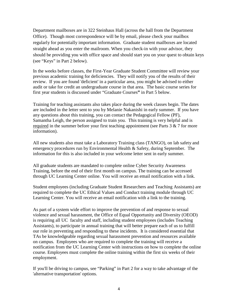Department mailboxes are in 322 Steinhaus Hall (across the hall from the Department Office). Though most correspondence will be by email, please check your mailbox regularly for potentially important information. Graduate student mailboxes are located straight ahead as you enter the mailroom. When you check-in with your advisor, they should be providing you with office space and should start you on your quest to obtain keys (see "Keys" in Part 2 below).

In the weeks before classes, the First-Year Graduate Student Committee will review your previous academic training for deficiencies. They will notify you of the results of their review. If you are found 'deficient' in a particular area, you might be advised to either audit or take for credit an undergraduate course in that area. The basic course series for first year students is discussed under "Graduate Courses**"** in Part 5 below.

Training for teaching assistants also takes place during the week classes begin. The dates are included in the letter sent to you by Melanie Nakanishi in early summer. If you have any questions about this training, you can contact the Pedagogical Fellow (PF), Samantha Leigh, the person assigned to train you. This training is very helpful and is required in the summer before your first teaching appointment (see Parts 3 & 7 for more information).

All new students also must take a Laboratory Training class (TANGO), on lab safety and emergency procedures run by Environmental Health & Safety, during September. The information for this is also included in your welcome letter sent in early summer.

All graduate students are mandated to complete online Cyber Security Awareness Training, before the end of their first month on campus. The training can be accessed through UC Learning Center online. You will receive an email notification with a link.

Student employees (including Graduate Student Researchers and Teaching Assistants) are required to complete the UC Ethical Values and Conduct training module through UC Learning Center. You will receive an email notification with a link to the training.

As part of a system wide effort to improve the prevention of and response to sexual violence and sexual harassment, the Office of Equal Opportunity and Diversity (OEOD) is requiring all UC faculty and staff, including student employees (includes Teaching Assistants), to participate in annual training that will better prepare each of us to fulfill our role in preventing and responding to these incidents. It is considered essential that TAs be knowledgeable regarding sexual harassment prevention and resources available on campus. Employees who are required to complete the training will receive a notification from the UC Learning Center with instructions on how to complete the online course. Employees must complete the online training within the first six weeks of their employment.

If you'll be driving to campus, see "Parking" in Part 2 for a way to take advantage of the 'alternative transportation' options.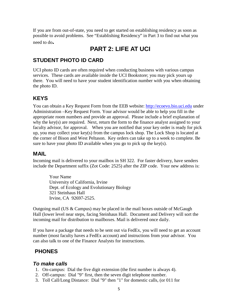If you are from out-of-state, you need to get started on establishing residency as soon as possible to avoid problems. See "Establishing Residency" in Part 3 to find out what you need to do**.**

## **PART 2: LIFE AT UCI**

### **STUDENT PHOTO ID CARD**

UCI photo ID cards are often required when conducting business with various campus services. These cards are available inside the UCI Bookstore; you may pick yours up there. You will need to have your student identification number with you when obtaining the photo ID.

### **KEYS**

You can obtain a Key Request Form from the EEB website: [http://ecoevo.bio.uci.edu](http://ecoevo.bio.uci.edu/) under Administration –Key Request Form. Your advisor would be able to help you fill in the appropriate room numbers and provide an approval. Please include a brief explanation of why the key(s) are required. Next, return the form to the finance analyst assigned to your faculty advisor, for approval. When you are notified that your key order is ready for pick up, you may collect your key(s) from the campus lock shop. The Lock Shop is located at the corner of Bison and West Peltason. Key orders can take up to a week to complete. Be sure to have your photo ID available when you go to pick up the key(s).

#### **MAIL**

Incoming mail is delivered to your mailbox in SH 322. For faster delivery, have senders include the Department suffix (Zot Code: 2525) after the ZIP code. Your new address is:

Your Name University of California, Irvine Dept. of Ecology and Evolutionary Biology 321 Steinhaus Hall Irvine, CA 92697-2525.

Outgoing mail (US & Campus) may be placed in the mail boxes outside of McGaugh Hall (lower level near steps, facing Steinhaus Hall. Document and Delivery will sort the incoming mail for distribution to mailboxes. Mail is delivered once daily.

If you have a package that needs to be sent out via FedEx, you will need to get an account number (most faculty haves a FedEx account) and instructions from your advisor. You can also talk to one of the Finance Analysts for instructions.

#### **PHONES**

#### *To make calls*

- 1. On-campus: Dial the five digit extension (the first number is always 4).
- 2. Off-campus: Dial "9" first, then the seven digit telephone number.
- 3. Toll Call/Long Distance: Dial "9" then "1" for domestic calls, (or 011 for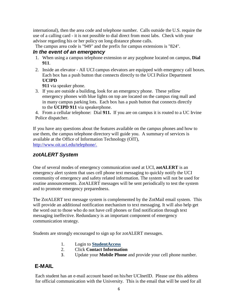international), then the area code and telephone number. Calls outside the U.S. require the use of a calling card - it is not possible to dial direct from most labs. Check with your advisor regarding his or her policy on long distance phone calls.

The campus area code is "949" and the prefix for campus extensions is "824".

#### *In the event of an emergency*

- 1. When using a campus telephone extension or any payphone located on campus, **Dial 911**.
- 2. Inside an elevator All UCI campus elevators are equipped with emergency call boxes. Each box has a push button that connects directly to the UCI Police Department **UCIPD**

**911** via speaker phone.

3. If you are outside a building, look for an emergency phone. These yellow emergency phones with blue lights on top are located on the campus ring mall and in many campus parking lots. Each box has a push button that connects directly to the **UCIPD 911** via speakerphone.

4. From a cellular telephone: Dial **911.** If you are on campus it is routed to a UC Irvine Police dispatcher.

If you have any questions about the features available on the campus phones and how to use them, the campus telephone directory will guide you. A summary of services is available at the Office of Information Technology (OIT), [http://www.oit.uci.edu/telephone/.](http://www.oit.uci.edu/telephone/)

### *zotALERT System*

One of several modes of emergency communication used at UCI, **zotALERT** is an emergency alert system that uses cell phone text messaging to quickly notify the UCI community of emergency and safety related information. The system will not be used for routine announcements. ZotALERT messages will be sent periodically to test the system and to promote emergency preparedness.

The ZotALERT text message system is complemented by the ZotMail email system. This will provide an additional notification mechanism to text messaging. It will also help get the word out to those who do not have cell phones or find notification through text messaging ineffective. Redundancy is an important component of emergency communication strategy.

Students are strongly encouraged to sign up for zotALERT messages.

- 1. Login to **[StudentAccess](https://www.reg.uci.edu/access/student/welcome/)**
- 2. Click **Contact Information**
- 3. Update your **Mobile Phone** and provide your cell phone number.

## **E-MAIL**

Each student has an e-mail account based on his/her UCInetID. Please use this address for official communication with the University. This is the email that will be used for all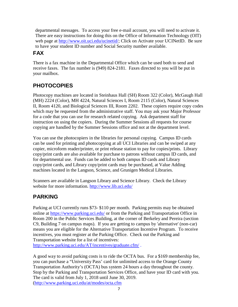departmental messages. To access your free e-mail account, you will need to activate it. There are easy instructions for doing this on the Office of Information Technology (OIT) web page at [http://www.oit.uci.edu/ucinetid/;](http://www.oit.uci.edu/ucinetid/) Click on Activate your UCINetID. Be sure to have your student ID number and Social Security number available.

## **FAX**

There is a fax machine in the Departmental Office which can be used both to send and receive faxes. The fax number is (949) 824-2181. Faxes directed to you will be put in your mailbox.

## **PHOTOCOPIES**

Photocopy machines are located in Steinhaus Hall (SH) Room 322 (Color), McGaugh Hall (MH) 2224 (Color), MH 4224, Natural Sciences I, Room 2115 (Color), Natural Sciences II, Room 4120, and Biological Sciences III, Room 2202. These copiers require copy codes which may be requested from the administrative staff. You may ask your Major Professor for a code that you can use for research related copying. Ask department staff for instruction on using the copiers. During the Summer Sessions all requests for course copying are handled by the Summer Sessions office and not at the department level.

You can use the photocopiers in the libraries for personal copying. Campus ID cards can be used for printing and photocopying at all UCI Libraries and can be swiped at any copier, microform reader/printer, or print release station to pay for copies/prints. Library copy/print cards are also available for purchase to patrons without campus ID cards, and for departmental use. Funds can be added to both campus ID cards and Library copy/print cards, and Library copy/print cards may be purchased, at Value Adding machines located in the Langson, Science, and Grunigen Medical Libraries.

Scanners are available in Langson Library and Science Library. Check the Library website for more information. <http://www.lib.uci.edu/>

## **PARKING**

Parking at UCI currently runs \$73- \$110 per month. Parking permits may be obtained online at<https://www.parking.uci.edu/> or from the Parking and Transportation Office in Room 200 in the Public Services Building, at the corner of Berkeley and Pereira (section C9, Building 7 on campus maps). If you are getting to campus by 'alternative' (non-car) means you are eligible for the Alternative Transportation Incentive Program. To receive incentives, you must register at the Parking Office. Check out the Parking and Transportation website for a list of incentives:

<http://www.parking.uci.edu/AT/incentives/graduate.cfm/> .

A good way to avoid parking costs is to ride the OCTA bus. For a \$169 membership fee, you can purchase a "University Pass' card for unlimited access to the Orange County Transportation Authority's (OCTA) bus system 24 hours a day throughout the county. Stop by the Parking and Transportation Services Office, and have your ID card with you. The card is valid from July 1, 2018 until June 30, 2019. [\(http://www.parking.uci.edu/at/modes/octa.cfm](http://www.parking.uci.edu/at/modes/octa.cfm)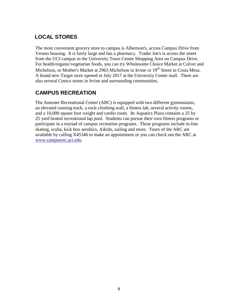## **LOCAL STORES**

The most convenient grocery store to campus is Albertson's, across Campus Drive from Verano housing. It is fairly large and has a pharmacy. Trader Joe's is across the street from the UCI campus in the University Town Center Shopping Area on Campus Drive. For health/organic/vegetarian foods, you can try Wholesome Choice Market at Culver and Michelson, or Mother's Market at 2963 Michelson in Irvine or 19<sup>th</sup> Street in Costa Mesa. A brand new Target store opened in July 2017 at the University Center mall. There are also several Costco stores in Irvine and surrounding communities.

### **CAMPUS RECREATION**

The Anteater Recreational Center (ARC) is equipped with two different gymnasiums, an elevated running track, a rock-climbing wall, a fitness lab, several activity rooms, and a 10,000 square foot weight and cardio room. Its Aquatics Plaza contains a 25 by 25 yard heated recreational lap pool. Students can pursue their own fitness programs or participate in a myriad of campus recreation programs. These programs include in-line skating, scuba, kick box aerobics, Aikido, sailing and more. Tours of the ARC are available by calling X45346 to make an appointment or you can check out the ARC at [www.campusrec.uci.edu.](http://www.campusrec.uci.edu/)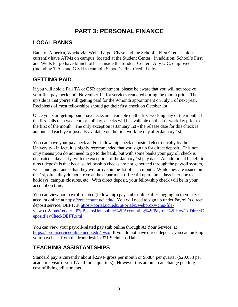## **PART 3: PERSONAL FINANCE**

## **LOCAL BANKS**

Bank of America, Wachovia, Wells Fargo, Chase and the School's First Credit Union currently have ATMs on campus, located at the Student Center. In addition, School's First and Wells Fargo have branch offices inside the Student Center. Any U.C. employee (including T.A.s and G.S.R.s) can join School's First Credit Union.

## **GETTING PAID**

If you will hold a Fall TA or GSR appointment, please be aware that you will not receive your first paycheck until November 1<sup>st</sup>, for services rendered during the month prior. The up side is that you're still getting paid for the 9-month appointment on July 1 of next year. Recipients of most fellowships should get their first check on October 1st.

Once you start getting paid, paychecks are available on the first working day of the month. If the first falls on a weekend or holiday, checks will be available on the last workday prior to the first of the month. The only exception is January 1st - the release date for this check is announced each year (usually available on the first working day after January 1st).

You can have your paycheck and/or fellowship check deposited electronically by the University - in fact, it is highly recommended that you sign up for direct deposit. This not only means you do not need to go to the bank, but with some banks your payroll check is deposited a day early, with the exception of the January 1st pay date. An additional benefit to direct deposit is that because fellowship checks are not generated through the payroll system, we cannot guarantee that they will arrive on the 1st of each month. While they are issued on the 1st, often they do not arrive at the department office till up to three days later due to holidays, campus closures, etc. With direct deposit, your fellowship check will be in your account on time.

You can view non payroll-related (fellowship) pay stubs online after logging on to your zot account online at [https://zotaccount.uci.edu/.](https://zotaccount.uci.edu/) You will need to sign up under Payroll's direct deposit service, DEFT, at [https://portal.uci.edu/uPortal/p/webproxy-cms-file](https://portal.uci.edu/uPortal/p/webproxy-cms-file-view.ctf2/max/render.uP?pP_cmsUri=public%2FAccounting%2FPayroll%2FHowToDirectDepositPayCheckDEFT.xml%20)[view.ctf2/max/render.uP?pP\\_cmsUri=public%2FAccounting%2FPayroll%2FHowToDirectD](https://portal.uci.edu/uPortal/p/webproxy-cms-file-view.ctf2/max/render.uP?pP_cmsUri=public%2FAccounting%2FPayroll%2FHowToDirectDepositPayCheckDEFT.xml%20) [epositPayCheckDEFT.xml](https://portal.uci.edu/uPortal/p/webproxy-cms-file-view.ctf2/max/render.uP?pP_cmsUri=public%2FAccounting%2FPayroll%2FHowToDirectDepositPayCheckDEFT.xml%20) .

You can view your payroll-related pay stub online through At Your Service, at [https://atyourserviceonline.ucop.edu/ayso/.](https://atyourserviceonline.ucop.edu/ayso/) If you do not have direct deposit, you can pick up your paycheck from the front desk in 321 Steinhaus Hall.

## **TEACHING ASSISTANTSHIPS**

Standard pay is currently about \$2294- gross per month or \$6884 per quarter (\$20,653 per academic year if you TA all three quarters). However this amount can change pending cost of living adjustments.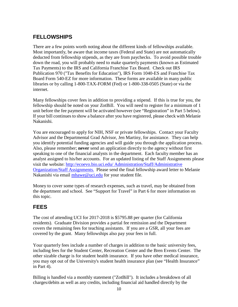## **FELLOWSHIPS**

There are a few points worth noting about the different kinds of fellowships available. Most importantly, be aware that income taxes (Federal and State) are not automatically deducted from fellowship stipends, as they are from paychecks. To avoid possible trouble down the road, you will probably need to make quarterly payments (known as Estimated Tax Payments) to the IRS and California Franchise Tax Board. Check out IRS Publication 970 ("Tax Benefits for Education"), IRS Form 1040-ES and Franchise Tax Board Form 540-EZ for more information. These forms are available in many public libraries or by calling 1-800-TAX-FORM (Fed) or 1-800-338-0505 (State) or via the internet.

Many fellowships cover fees in addition to providing a stipend. If this is true for you, the fellowship should be noted on your ZotBill. You will need to register for a minimum of 1 unit before the fee payment will be activated however (see "Registration" in Part 5 below). If your bill continues to show a balance after you have registered, please check with Melanie Nakanishi.

You are encouraged to apply for NIH, NSF or private fellowships. Contact your Faculty Advisor and the Departmental Grad Advisor, Jen Martiny, for assistance. They can help you identify potential funding agencies and will guide you through the application process. Also, please remember; **never** send an application directly to the agency without first speaking to one of the financial analysts in the department. Each faculty member has an analyst assigned to his/her accounts. For an updated listing of the Staff Assignments please visit the website:<http://ecoevo.bio.uci.edu/> Administration/Staff/Administrative Organization/Staff Assignments. Please send the final fellowship award letter to Melanie Nakanishi via email [mhawe@uci.edu](mailto:mhawe@uci.edu) for your student file.

Money to cover some types of research expenses, such as travel, may be obtained from the department and school. See "Support for Travel" in Part 6 for more information on this topic.

#### **FEES**

The cost of attending UCI for 2017-2018 is \$5795.88 per quarter (for California residents). Graduate Division provides a partial fee remission and the Department covers the remaining fees for teaching assistants. If you are a GSR, all your fees are covered by the grant. Many fellowships also pay your fees in full.

Your quarterly fees include a number of charges in addition to the basic university fees, including fees for the Student Center, Recreation Center and the Bren Events Center. The other sizable charge is for student health insurance. If you have other medical insurance, you may opt out of the University's student health insurance plan (see "Health Insurance" in Part 4).

Billing is handled via a monthly statement ("ZotBill"). It includes a breakdown of all charges/debits as well as any credits, including financial aid handled directly by the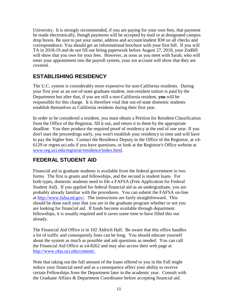University. It is strongly recommended, if you are paying for your own fees, that payment be made electronically, though payments will be accepted by mail or at designated campus drop boxes. Be sure to put your name, address and account/student ID# on all checks and correspondence. You should get an informational brochure with your first bill. If you will TA in 2018-19 and do not fill out hiring paperwork before August 27, 2018, your ZotBill will show that you owe for your fees. However, as soon as you meet with Sarah, who will enter your appointment into the payroll system, your zot account will show that they are covered.

## **ESTABLISHING RESIDENCY**

The U.C. system is considerably more expensive for non-California residents. During your first year as an out-of-state graduate student, non-resident tuition is paid by the Department but after that, if you are still a non-California resident, **you** will be responsible for this charge. It is therefore vital that out-of-state domestic students establish themselves as California residents during their first year.

In order to be considered a resident, you must obtain a Petition for Resident Classification from the Office of the Registrar, fill it out, and return it to them by the appropriate deadline. You then produce the required proof of residency at the end of one year. If you don't start the proceedings early, you won't establish your residency in time and will have to pay the higher fees. Contact the Residence Deputy in the Office of the Registrar, at x4- 6129 or regres.uci.edu if you have questions, or look at the Registrar's Office website at [www.reg.uci.edu/registrar/residence/index.html.](http://www.reg.uci.edu/registrar/residence/index.html)

### **FEDERAL STUDENT AID**

Financial aid to graduate students is available from the federal government in two forms. The first is grants and fellowships, and the second is student loans. For both types, domestic students need to file a FAFSA (Free Application for Federal Student Aid). If you applied for federal financial aid as an undergraduate, you are probably already familiar with the procedures. You can submit the FAFSA on-line at [http://www.fafsa.ed.gov/.](http://www.fafsa.ed.gov/) The instructions are fairly straightforward. This should be done each year that you are in the graduate program whether or not you are looking for financial aid. If funds become available through department fellowships, it is usually required and it saves some time to have filled this out already.

The Financial Aid Office is in 102 Aldrich Hall. Be aware that this office handles a lot of traffic and consequently lines can be long. You should educate yourself about the system as much as possible and ask questions as needed. You can call the Financial Aid Office at x4-8262 and may also access their web page at [http://www.ofas.uci.edu/content/.](http://www.ofas.uci.edu/content/)

Note that taking out the full amount of the loans offered to you in the Fall might reduce your financial need and as a consequence affect your ability to receive certain Fellowships from the Department later in the academic year. Consult with the Graduate Affairs & Department Coordinator before accepting financial aid.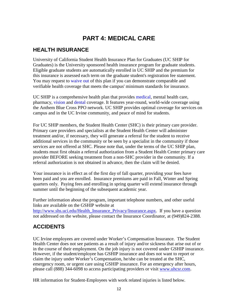## **PART 4: MEDICAL CARE**

### **HEALTH INSURANCE**

University of California Student Health Insurance Plan for Graduates (UC SHIP for Graduates) is the University sponsored health insurance program for graduate students. Eligible graduate students are automatically enrolled in UC SHIP and the premium for this insurance is assessed each term on the graduate student's registration fee statement. You may request to [waive](http://www.shs.uci.edu/Health_Insurance_Privacy/Insurance.aspx#Waiving) out of this plan if you can demonstrate comparable and verifiable health coverage that meets the campus' minimum standards for insurance.

UC SHIP is a comprehensive health plan that provides [medical,](http://www.shs.uci.edu/Health_Insurance_Privacy/InsuranceDoc/GSHIPSummaryofBenefits.pdf) mental health care, pharmacy, [vision](http://www.shs.uci.edu/Health_Insurance_Privacy/InsuranceDoc/UCSHIP2014_15VisionSummary62014.pdf) and [dental](http://www.shs.uci.edu/Health_Insurance_Privacy/InsuranceDoc/UCSHIPDentalPlanSummary2013.2014.pdf) coverage. It features year-round, world-wide coverage using the Anthem Blue Cross PPO network. UC SHIP provides optimal coverage for services on campus and in the UC Irvine community, and peace of mind for students.

For UC SHIP members, the Student Health Center (SHC) is their primary care provider. Primary care providers and specialists at the Student Health Center will administer treatment and/or, if necessary, they will generate a referral for the student to receive additional services in the community or be seen by a specialist in the community if those services are not offered at SHC. Please note that, under the terms of the UC SHIP plan, students must first obtain a referral authorization from a Student Health Center primary care provider BEFORE seeking treatment from a non-SHC provider in the community. If a referral authorization is not obtained in advance, then the claim will be denied.

Your insurance is in effect as of the first day of fall quarter, providing your fees have been paid and you are enrolled. Insurance premiums are paid in Fall, Winter and Spring quarters only. Paying fees and enrolling in spring quarter will extend insurance through summer until the beginning of the subsequent academic year.

Further information about the program, important telephone numbers, and other useful links are available on the GSHIP website at

[http://www.shs.uci.edu/Health\\_Insurance\\_Privacy/Insurance.aspx.](http://www.shs.uci.edu/Health_Insurance_Privacy/Insurance.aspx) If you have a question not addressed on the website, please contact the Insurance Coordinator, at (949)824-2388.

## **ACCIDENTS**

UC Irvine employees are covered under Worker's Compensation Insurance. The Student Health Center does not see patients as a result of injury and/or sickness that arise out of or in the course of their employment. On the job injury is not covered under GSHIP insurance. However, if the student/employee has GSHIP insurance and does not want to report or claim the injury under Worker's Compensation, he/she can be treated at the SHC, emergency room, or urgent care using GSHIP insurance. For an emergency after hours, please call (888) 344-6098 to access participating providers or visit [www.uhcsr.com](http://www.uhcsr.com/).

HR information for Student-Employees with work related injuries is listed below.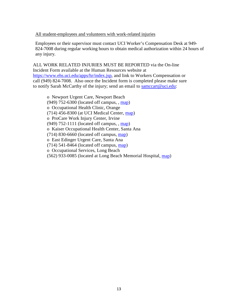#### All student-employees and volunteers with work-related injuries

Employees or their supervisor must contact UCI Worker's Compensation Desk at 949- 824-7008 during regular working hours to obtain medical authorization within 24 hours of any injury.

ALL WORK RELATED INJURIES MUST BE REPORTED via the On-line Incident Form available at the Human Resources website at [https://www.ehs.uci.edu/apps/hr/index.jsp,](https://www.ehs.uci.edu/apps/hr/index.jsp) and link to Workers Compensation or call (949) 824-7008. Also once the Incident form is completed please make sure to notify Sarah McCarthy of the injury; send an email to [samccart@uci.edu:](mailto:samccart@uci.edu)

o Newport Urgent Care, Newport Beach (949) 752-6300 (located off campus, , [map\)](http://apps.adcom.uci.edu/expresso/econtent/Content.do?resource=1395) o Occupational Health Clinic, Orange (714) 456-8300 (at UCI Medical Center, [map\)](http://www.healthcare.uci.edu/pdfs/09Sep_UCIH_Map-Directory.pdf) o ProCare Work Injury Center, Irvine (949) 752-1111 (located off campus, , [map\)](http://apps.adcom.uci.edu/expresso/econtent/Content.do?resource=4968) o Kaiser Occupational Health Center, Santa Ana (714) 830-6660 (located off campus, [map\)](http://apps.adcom.uci.edu/expresso/econtent/Content.do?resource=4967) o East Edinger Urgent Care, Santa Ana (714) 541-8464 (located off campus, [map\)](http://apps.adcom.uci.edu/expresso/econtent/Content.do?resource=3413) o Occupational Services, Long Beach (562) 933-0085 (located at Long Beach Memorial Hospital, [map\)](http://apps.adcom.uci.edu/expresso/econtent/Content.do?resource=3421)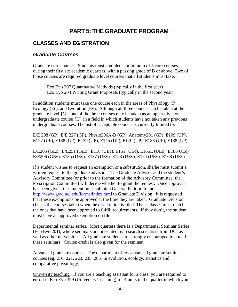## **PART 5: THE GRADUATE PROGRAM**

### **CLASSES AND EGISTRATION**

#### *Graduate Courses*

Graduate core courses. Students must complete a minimum of 5 core courses during their first six academic quarters, with a passing grade of B or above. Two of those courses are required graduate level courses that all students must take:

Eco Evo 207 Quantitative Methods (typically in the first year) Eco Evo 204 Writing Grant Proposals (typically in the second year)

In addition students must take one course each in the areas of Physiology (P), Ecology (Ec), and Evolution (Ev). Although all three courses can be taken at the graduate level {G}, one of the three courses may be taken as an upper division undergraduate course {U} in a field in which students have not taken any previous undergraduate courses. The list of acceptable courses is currently limited to:

E/E 208 (GP), E/E 227 (GP), Physio206A-B (GP), Anatomy201 (GP), E109 (UP), E127 (UP), E138 (UP), E139 (UP), E145 (UP), E170 (UP), E183 (UP), E188 (UP).

E/E205 (GEc), E/E251 (GEc), E118 (UEc), E151 (UEc), E166L (UEc), E186 UEc) E/E206 (GEv), E135 (UEv), E137 (UEv), E153 (UEv), E154 (UEv), E168 (UEv)

If a student wishes to request an exemption or a substitution, she/he must submit a written request to the graduate advisor. The Graduate Advisor and the student's Advisory Committee (or prior to the formation of the Advisory Committee, the Prescription Committee) will decide whether to grant the request. Once approval has been given, the student must submit a General Petition found at <http://www.grad.uci.edu/forms/index.html> to Graduate Division. It is requested that these exemptions be approved at the time they are taken. Graduate Division checks the courses taken when the dissertation is filed. Those classes must match the ones that have been approved to fulfill requirements. If they don't, the student must have an approved exemption on file.

Departmental seminar series. Most quarters there is a Departmental Seminar Series (Eco Evo 201), where seminars are presented by research scientists from UCI as well as other universities. All graduate students are strongly encouraged to attend these seminars. Course credit is also given for the seminar.

Advanced graduate courses. The department offers advanced graduate seminar courses (eg: 210, 221, 223, 235, 285) in evolution, ecology, statistics and comparative physiology.

University teaching. If you are a teaching assistant for a class, you are required to enroll in Eco Evo 399 (University Teaching) for 4 units in the quarter in which you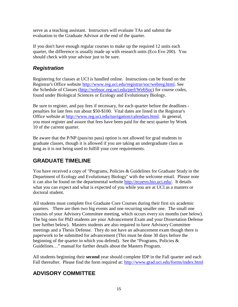serve as a teaching assistant. Instructors will evaluate TAs and submit the evaluation to the Graduate Advisor at the end of the quarter.

If you don't have enough regular courses to make up the required 12 units each quarter, the difference is usually made up with research units (Eco Evo 200). You should check with your advisor just to be sure.

### *Registration*

Registering for classes at UCI is handled online. Instructions can be found on the Registrar's Office website [http://www.reg.uci.edu/registrar/soc/webreg.html.](http://www.reg.uci.edu/registrar/soc/webreg.html) See the Schedule of Classes [\(http://websoc.reg.uci.edu/perl/WebSoc\)](http://websoc.reg.uci.edu/perl/WebSoc) for course codes, found under Biological Sciences or Ecology and Evolutionary Biology.

Be sure to register, and pay fees if necessary, for each quarter before the deadlines penalties for late fees run about \$50-\$100. Vital dates are listed in the Registrar's Office website at [http://www.reg.uci.edu/navigation/calendars.html.](http://www.reg.uci.edu/navigation/calendars.html) In general, you must register and assure that fees have been paid for the next quarter by Week 10 of the current quarter.

Be aware that the P/NP (pass/no pass) option is not allowed for grad students in graduate classes, though it is allowed if you are taking an undergraduate class as long as it is not being used to fulfill your core requirements.

## **GRADUATE TIMELINE**

You have received a copy of "Programs, Policies & Guidelines for Graduate Study in the Department of Ecology and Evolutionary Biology" with the welcome email. Please note it can also be found on the departmental website [http://ecoevo.bio.uci.edu/.](http://ecoevo.bio.uci.edu/) It details what you can expect and what is expected of you while you are at UCI as a masters or doctoral student.

All students must complete five Graduate Core Courses during their first six academic quarters. There are then two big events and one recurring smaller one. The small one consists of your Advisory Committee meeting, which occurs every six months (see below). The big ones for PhD students are your Advancement Exam and your Dissertation Defense (see further below). Masters students are also required to have Advisory Committee meetings and a Thesis Defense. They do not have an advancement exam though there is paperwork to be submitted for advancement (This must be done 30 days before the beginning of the quarter in which you defend). See the "Programs, Policies  $\&$ Guidelines…" manual for further details about the Masters Program.

All students beginning their **second** year should complete IDP in the Fall quarter and each Fall thereafter. Please find the form required at:<http://www.grad.uci.edu/forms/index.html>

## **ADVISORY COMMITTEE**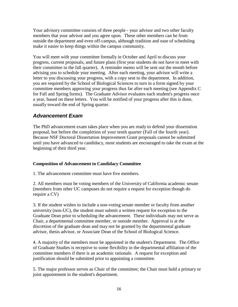Your advisory committee consists of three people - your advisor and two other faculty members that your advisor and you agree upon. These other members can be from outside the department and even off-campus, although tradition and ease of scheduling make it easier to keep things within the campus community.

You will meet with your committee formally in October and April to discuss your progress, current proposals, and future plans (first year students do not have to meet with their committee in the fall quarter). A reminder memo will be sent out the month before advising you to schedule your meeting. After each meeting, your advisor will write a letter to you discussing your progress, with a copy sent to the department. In addition, you are required by the School of Biological Sciences to turn in a form signed by your committee members approving your progress thus far after each meeting (see Appendix C for Fall and Spring forms). The Graduate Advisor evaluates each student's progress once a year, based on these letters. You will be notified of your progress after this is done, usually toward the end of Spring quarter.

#### *Advancement Exam*

The PhD advancement exam takes place when you are ready to defend your dissertation proposal, but before the completion of your tenth quarter (Fall of the fourth year). Because NSF Doctoral Dissertation Improvement Grant proposals cannot be submitted until you have advanced to candidacy, most students are encouraged to take the exam at the beginning of their third year.

#### **Composition of Advancement to Candidacy Committee**

1. The advancement committee must have five members.

2. All members must be voting members of the University of California academic senate (members from other UC campuses do not require a request for exception though do require a CV)

3. If the student wishes to include a non-voting senate member or faculty from another university (non-UC), the student must submit a written request for exception to the Graduate Dean prior to scheduling the advancement. These individuals may not serve as Chair, a departmental committee member, or outside member. Approval is at the discretion of the graduate dean and may not be granted by the departmental graduate advisor, thesis advisor, or Associate Dean of the School of Biological Science.

4. A majority of the members must be appointed in the student's Department. The Office of Graduate Studies is receptive to some flexibility in the departmental affiliation of the committee members if there is an academic rationale. A request for exception and justification should be submitted prior to appointing a committee.

5. The major professor serves as Chair of the committee; the Chair must hold a primary or joint appointment in the student's department.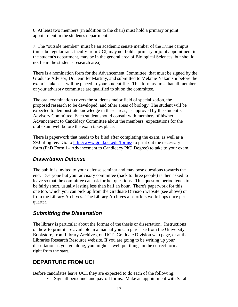6. At least two members (in addition to the chair) must hold a primary or joint appointment in the student's department.

7. The "outside member" must be an academic senate member of the Irvine campus (must be regular rank faculty from UCI, may not hold a primary or joint appointment in the student's department, may be in the general area of Biological Sciences, but should not be in the student's research area).

There is a nomination form for the Advancement Committee that must be signed by the Graduate Advisor, Dr. Jennifer Martiny, and submitted to Melanie Nakanishi before the exam is taken. It will be placed in your student file. This form assures that all members of your advisory committee are qualified to sit on the committee.

The oral examination covers the student's major field of specialization, the proposed research to be developed, and other areas of biology. The student will be expected to demonstrate knowledge in these areas, as approved by the student's Advisory Committee. Each student should consult with members of his/her Advancement to Candidacy Committee about the members' expectations for the oral exam well before the exam takes place.

There is paperwork that needs to be filed after completing the exam, as well as a \$90 filing fee. Go to<http://www.grad.uci.edu/forms/> to print out the necessary form (PhD Form 1– Advancement to Candidacy PhD Degree) to take to your exam.

#### *Dissertation Defense*

The public is invited to your defense seminar and may pose questions towards the end. Everyone but your advisory committee (back to three people) is then asked to leave so that the committee can ask further questions. This question period tends to be fairly short, usually lasting less than half an hour. There's paperwork for this one too, which you can pick up from the Graduate Division website (see above) or from the Library Archives. The Library Archives also offers workshops once per quarter.

### *Submitting the Dissertation*

The library is particular about the format of the thesis or dissertation. Instructions on how to print it are available in a manual you can purchase from the University Bookstore, from Library Archives, on UCI's Graduate Division web page, or at the Libraries Research Resource website. If you are going to be writing up your dissertation as you go along, you might as well put things in the correct format right from the start.

### **DEPARTURE FROM UCI**

Before candidates leave UCI, they are expected to do each of the following:

• Sign all personnel and payroll forms. Make an appointment with Sarah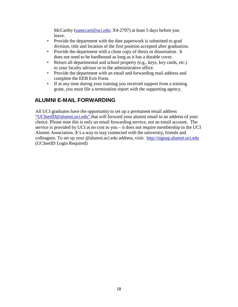McCarthy [\(samccart@uci.edu;](mailto:samccart@uci.edu) X4-2797) at least 5 days before you leave.

- Provide the department with the date paperwork is submitted to grad division, title and location of the first position accepted after graduation.
- Provide the department with a clean copy of thesis or dissertation. It does not need to be hardbound as long as it has a durable cover.
- Return all departmental and school property (e.g., keys, key cards, etc.) to your faculty advisor or to the administrative office.
- Provide the department with an email and forwarding mail address and complete the EEB Exit Form.
- If at any time during your training you received support from a training grant, you must file a termination report with the supporting agency.

## **ALUMNI E-MAIL FORWARDING**

All UCI graduates have the opportunity to set up a permanent email addres[s](mailto:) ["UCInetID@alumni.uci.edu"](mailto:) that will forward your alumni email to an address of your choice. Please note this is only an email forwarding service, not an email account. The service is provided by UCI at no cost to you – it does not require membership in the UCI Alumni Association. It's a way to stay connected with the university, friends and colleagues. To set up your @alumni.uci.edu address, visit: [http://signup.alumni.uci.edu](http://signup.alumni.uci.edu/)  (UCInetID Login Required)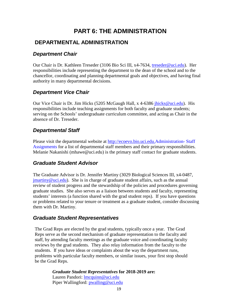## **PART 6: THE ADMINISTRATION**

#### **DEPARTMENTAL ADMINISTRATION**

#### *Department Chair*

Our Chair is Dr. Kathleen Treseder (3106 Bio Sci III, x4-7634, [treseder@uci.edu\)](mailto:treseder@uci.edu). Her responsibilities include representing the department to the dean of the school and to the chancellor, coordinating and planning departmental goals and objectives, and having final authority in many departmental decisions.

#### *Department Vice Chair*

Our Vice Chair is Dr. Jim Hicks (5205 McGaugh Hall, x 4-6386 jhicks@uci.edu). His responsibilities include teaching assignments for both faculty and graduate students; serving on the Schools' undergraduate curriculum committee, and acting as Chair in the absence of Dr. Treseder.

#### *Departmental Staff*

Please visit the departmental website at [http://ecoevo.bio.uci.edu.A](http://ecoevo.bio.uci.edu./)dministration- Staff Assignments for a list of departmental staff members and their primary responsibilities. Melanie Nakanishi (mhawe@uci.edu) is the primary staff contact for graduate students.

#### *Graduate Student Advisor*

The Graduate Advisor is Dr. Jennifer Martiny (3029 Biological Sciences III, x4-0487, [jmartiny@uci.edu\)](mailto:jmartiny@uci.edu). She is in charge of graduate student affairs, such as the annual review of student progress and the stewardship of the policies and procedures governing graduate studies. She also serves as a liaison between students and faculty, representing students' interests (a function shared with the grad student reps). If you have questions or problems related to your tenure or treatment as a graduate student, consider discussing them with Dr. Martiny.

#### *Graduate Student Representatives*

The Grad Reps are elected by the grad students, typically once a year. The Grad Reps serve as the second mechanism of graduate representation to the faculty and staff, by attending faculty meetings as the graduate voice and coordinating faculty reviews by the grad students. They also relay information from the faculty to the students. If you have ideas or complaints about the way the department runs, problems with particular faculty members, or similar issues, your first stop should be the Grad Reps.

> *Graduate Student Representatives* **for 2018-2019 are:** Lauren Pandori: lmcquinn@uci.edu [Piper](mailto:Piper) Wallingford: pwalling@uci.edu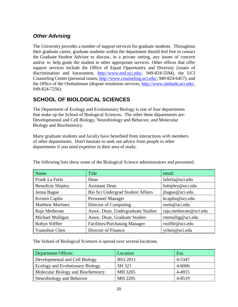### *Other Advising*

The University provides a number of support services for graduate students. Throughout their graduate career, graduate students within the department should feel free to contact the Graduate Student Advisor to discuss, in a private setting, any issues of concern and/or to help guide the student to other appropriate services. Other offices that offer support services include the Office of Equal Opportunity and Diversity (issues of discrimination and harassment, [http://www.eod.uci.edu/,](http://www.eod.uci.edu/) 949-824-5594), the UCI Counseling Center (personal issues, [http://www.counseling.uci.edu/,](http://www.counseling.uci.edu/) 949-824-6457), and the Office of the Ombudsman (dispute resolution services, [http://www.ombuds.uci.edu/,](http://www.ombuds.uci.edu/) 949-824-7256).

## **SCHOOL OF BIOLOGICAL SCIENCES**

The Department of Ecology and Evolutionary Biology is one of four departments that make up the School of Biological Sciences. The other three departments are: Developmental and Cell Biology, Neurobiology and Behavior, and Molecular Biology and Biochemistry.

Many graduate students and faculty have benefited from interactions with members of other departments. Don't hesitate to seek out advice from people in other departments if you need expertise in their area of study.

| Name                     | Title                                | email                  |
|--------------------------|--------------------------------------|------------------------|
| Frank La Ferla           | Dean                                 | laferla@uci.edu        |
| <b>Benedicte Shipley</b> | <b>Assistant Dean</b>                | bshipley@uci.edu       |
| Jenna Bague              | Bio Sci Undergrad Student Affairs    | jbague@uci.edu         |
| Kristen Caplin           | <b>Personnel Manager</b>             | kcaplin@uci.edu        |
| <b>Matthew Martinez</b>  | Director of Computing                | mrm@uci.edu            |
| Raju Metherate           | Assoc. Dean, Undergraduate Studies   | raju.metherate@uci.edu |
| Michael Mulligan         | Assoc. Dean, Graduate Studies        | rmmullig@uci.edu       |
| Robyn Stiffler           | <b>Facilities/Purchasing Manager</b> | rstiffle@uci.edu       |
| Yuanshun Chen            | Director of Finance                  | ychen@uci.edu          |

The following lists show some of the Biological Science administrators and personnel.

The School of Biological Sciences is spread over several locations.

| <b>Department Offices:</b>         | Location        | Ext.   |
|------------------------------------|-----------------|--------|
| Developmental and Cell Biology     | <b>BS3 2011</b> | 4-5347 |
| Ecology and Evolutionary Biology   | SH 321          | 4-6006 |
| Molecular Biology and Biochemistry | MH 3205         | 4-4915 |
| Neurobiology and Behavior          | MH 2205         | 4-8519 |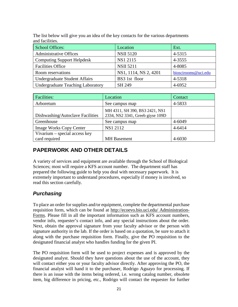The list below will give you an idea of the key contacts for the various departments and facilities.

| <b>School Offices:</b>                   | Location              | Ext.                |
|------------------------------------------|-----------------------|---------------------|
| <b>Administrative Offices</b>            | <b>NSII 5120</b>      | 4-5315              |
| <b>Computing Support Helpdesk</b>        | NS1 2115              | 4-3555              |
| <b>Facilities Office</b>                 | <b>NSII 5211</b>      | 4-8085              |
| Room reservations                        | NS1, 1114, NS 2, 4201 | bioscirooms@uci.edu |
| Undergraduate Student Affairs            | BS3 1st floor         | 4-5318              |
| <b>Undergraduate Teaching Laboratory</b> | SH 249                | 4-6952              |

| <b>Facilities:</b>               | Location                                                           | Contact |
|----------------------------------|--------------------------------------------------------------------|---------|
| Arboretum                        | See campus map                                                     | 4-5833  |
| Dishwashing/Autoclave Facilities | MH 4311, SH 390, BS3 2421, NS1<br>2334, NS2 3341, Greeb giyse 109D |         |
| Greenhouse                       | See campus map                                                     | 4-6049  |
| <b>Image Works Copy Center</b>   | NS1 2112                                                           | 4-6414  |
| Vivarium - special access key    |                                                                    |         |
| card required                    | <b>MH</b> Basement                                                 | 4-6030  |

### **PAPERWORK AND OTHER DETAILS**

A variety of services and equipment are available through the School of Biological Sciences; most will require a KFS account number. The department staff has prepared the following guide to help you deal with necessary paperwork. It is extremely important to understand procedures, especially if money is involved, so read this section carefully.

### *Purchasing*

To place an order for supplies and/or equipment, complete the departmental purchase requisition form, which can be found at<http://ecoevo.bio.uci.edu/> Administration-Forms. Please fill in all the important information such as KFS account numbers, vendor info, requester's contact info, and any special instructions about the order. Next, obtain the approval signature from your faculty advisor or the person with signature authority in the lab. If the order is based on a quotation, be sure to attach it along with the purchase requisition form. Finally, give the PO requisition to the designated financial analyst who handles funding for the given PI.

The PO requisition form will be used to project expenses and is approved by the designated analyst. Should they have questions about the use of the account, they will contact either you or your faculty advisor directly. After approving the PO, the financial analyst will hand it to the purchaser, Rodrigo Aguayo for processing. If there is an issue with the items being ordered, i.e. wrong catalog number, obsolete item, big difference in pricing, etc., Rodrigo will contact the requester for further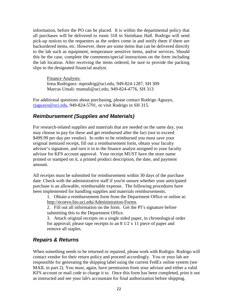information, before the PO can be placed. It is within the departmental policy that all purchases will be delivered to room 318 in Steinhaus Hall. Rodrigo will send pick-up notices to the requesters as the orders come in and notify them if there are backordered items, etc. However, there are some items that can be delivered directly to the lab such as equipment, temperature sensitive items, and/or services. Should this be the case, complete the comments/special instructions on the form including the lab location. After receiving the items ordered, be sure to provide the packing slips to the designated financial analyst.

Finance Analysts: Irma Rodriguez: mprodrig@uci.edu, 949-824-1287, SH 309 Marcus Umali: mumali@uci.edu, 949-824-4776, SH 313

For additional questions about purchasing, please contact Rodrigo Aguayo, [rjaguayo@uci.edu,](mailto:tcastro@uci.edu) 949-824-5791, or visit Rodrigo in SH 315.

#### *Reimbursement (Supplies and Materials)*

For research-related supplies and materials that are needed on the same day, you may choose to pay for these and get reimbursed after the fact (not to exceed \$499.99 per day per vendor). In order to be reimbursed you must save your original itemized receipt, fill out a reimbursement form, obtain your faculty advisor's signature, and turn it in to the finance analyst assigned to your faculty advisor for KFS account approval. Your receipt MUST have the store name printed or stamped on it, a printed product description, the date, and payment amount.

All receipts must be submitted for reimbursement within 30 days of the purchase date. Check with the administrative staff if you're unsure whether your anticipated purchase is an allowable, reimbursable expense. The following procedures have been implemented for handling supplies and materials reimbursements.

1. Obtain a reimbursement form from the Department Office or online at: http://ecoevo.bio.uci.edu/Administration-Forms.

2. Fill out all information on the form. Get the PI's signature before submitting this to the Department Office.

3. Attach original receipts on a single sided paper, in chronological order for approval; please tape receipts to an 8 1/2 x 11 piece of paper and remove all staples.

#### *Repairs & Returns*

When something needs to be returned or repaired, please work with Rodrgio. Rodrigo will contact vendor for their return policy and proceed accordingly. You or your lab are responsible for generating the shipping label using the current FedEx online system (see MAIL in part 2). You must, again, have permission from your advisor and either a valid KFS account or mail code to charge it to. Once this form has been completed, print it out as instructed and see your lab's accountant for final authorization before shipping.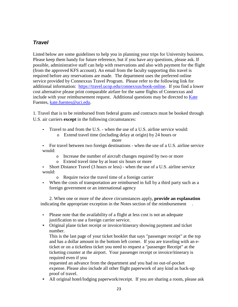#### *Travel*

Listed below are some guidelines to help you in planning your trips for University business. Please keep them handy for future reference, but if you have any questions, please ask. If possible, administrative staff can help with reservations and also with payment for the flight (from the approved KFS account). An email from the faculty supporting this travel is required before any reservations are made. The department uses the preferred online service provided by Connexxus Travel Program. Please refer to the following link for additional information: [https://travel.ucop.edu/connexxus/book-online.](https://travel.ucop.edu/connexxus/book-online) If you find a lower cost alternative please print comparable airfare for the same flights of Connexxus and include with your reimbursement request. Additional questions may be directed to [Kate](mailto:Kate) Fuentes, [kate.fuentes@uci.edu.](mailto:kate.fuentes@uci.edu)

1. Travel that is to be reimbursed from federal grants and contracts must be booked through U.S. air carriers **except** in the following circumstances:

- Travel to and from the U.S. when the use of a U.S. airline service would:
	- o Extend travel time (including delay at origin) by 24 hours or

more

• For travel between two foreign destinations - when the use of a U.S. airline service would:

- o Increase the number of aircraft changes required by two or more
- Extend travel time by at least six hours or more
- Short Distance Travel (3 hours or less) when the use of a U.S. airline service would:
	- o Require twice the travel time of a foreign carrier
- When the costs of transportation are reimbursed in full by a third party such as a foreign government or an international agency

2. When one or more of the above circumstances apply, **provide an explanation** indicating the appropriate exception in the Notes section of the reimbursement .

- Please note that the availability of a flight at less cost is not an adequate justification to use a foreign carrier service.
- Original plane ticket receipt or invoice/itinerary showing payment and ticket number.

This is the last page of your ticket booklet that says "passenger receipt" at the top and has a dollar amount in the bottom left corner. If you are traveling with an eticket or on a ticketless ticket you need to request a "passenger Receipt" at the ticketing counter at the airport. Your passenger receipt or invoice/itinerary is required even if you

requested an advance from the department and you had no out-of-pocket expense. Please also include all other flight paperwork of any kind as back-up proof of travel.

• All original hotel/lodging paperwork/receipt. If you are sharing a room, please ask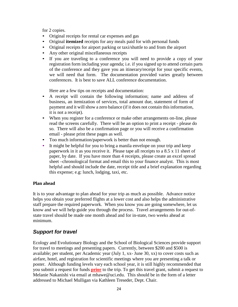for 2 copies.

- Original receipts for rental car expenses and gas
- Original **itemized** receipts for any meals paid for with personal funds
- Original receipts for airport parking or taxi/shuttle to and from the airport
- Any other original miscellaneous receipts
- If you are traveling to a conference you will need to provide a copy of your registration form including your agenda; i.e. if you signed up to attend certain parts of the conference and they gave you an itinerary/receipt for your specific events, we will need that form. The documentation provided varies greatly between conferences. It is best to save ALL conference documentation.

Here are a few tips on receipts and documentation:

- A receipt will contain the following information; name and address of business, an itemization of services, total amount due, statement of form of payment and it will show a zero balance (if it does not contain this information, it is not a receipt).
- When you register for a conference or make other arrangements on-line, please read the screens carefully. There will be an option to print a receipt - please do so. There will also be a confirmation page or you will receive a confirmation email - please print these pages as well.
- Too much information/paperwork is better than not enough.
- It might be helpful for you to bring a manila envelope on your trip and keep paperwork in it as you receive it. Please tape all receipts to a 8.5 x 11 sheet of paper, by date. If you have more than 4 receipts, please create an excel spread sheet –chronological format and email this to your finance analyst. This is most helpful and should include the date, receipt title and a brief explanation regarding this expense; e.g: lunch, lodging, taxi, etc.

#### **Plan ahead**

It is to your advantage to plan ahead for your trip as much as possible. Advance notice helps you obtain your preferred flights at a lower cost and also helps the administrative staff prepare the required paperwork. When you know you are going somewhere, let us know and we will help guide you through the process. Travel arrangements for out-ofstate travel should be made one month ahead and for in-state, two weeks ahead at minimum.

#### *Support for travel*

Ecology and Evolutionary Biology and the School of Biological Sciences provide support for travel to meetings and presenting papers. Currently, between \$200 and \$500 is available; per student, per Academic year (July 1, xx- June 30, xx) to cover costs such as airfare, hotel, and registration for scientific meetings where you are presenting a talk or poster. Although funding levels vary each school year, it is still highly recommended that you submit a request for funds **prior** to the trip. To get this travel grant, submit a request to Melanie Nakanishi via email at mhawe@uci.edu. This should be in the form of a letter addressed to Michael Mulligan via Kathleen Treseder, Dept. Chair.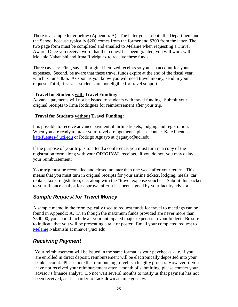There is a sample letter below (Appendix A). The letter goes to both the Department and the School because typically \$200 comes from the former and \$300 from the latter. The two page form must be completed and emailed to Melanie when requesting a Travel Award. Once you receive word that the request has been granted, you will work with Melanie Nakanishi and Irma Rodriguez to receive these funds.

Three caveats: First, save all original itemized receipts so you can account for your expenses. Second, be aware that these travel funds expire at the end of the fiscal year, which is June 30th. As soon as you know you will need travel money, send in your request. Third, first year students are not eligible for travel support.

#### **Travel for Students with Travel Funding:**

Advance payments will not be issued to students with travel funding. Submit your original receipts to Irma Rodriguez for reimbursement after your trip.

#### **Travel for Students without Travel Funding:**

It is possible to receive advance payment of airline tickets, lodging and registration. When you are ready to make your travel arrangements, please contact Kate Fuentes at [kate.fuentes@uci.edu](mailto:kate.fuentes@uci.edu) or Rodrigo Aguayo at rjaguayo@uci.edu.

If the purpose of your trip is to attend a conference, you must turn in a copy of the registration form along with your **ORIGINAL** receipts. If you do not, you may delay your reimbursement!

Your trip must be reconciled and closed <u>no later than one week</u> after your return. This means that you must turn in original receipts for your airline tickets, lodging, meals, car rentals, taxis, registration, etc, along with the "travel expense voucher'. Submit this packet to your finance analyst for approval after it has been signed by your faculty advisor.

#### *Sample Request for Travel Money*

A sample memo in the form typically used to request funds for travel to meetings can be found in Appendix A. Even though the maximum funds provided are never more than \$500.00, you should include all your anticipated major expenses in your budget. Be sure to indicate that you will be presenting a talk or poster. Email your completed request to [Melanie](mailto:Melanie) Nakanishi at mhawe@uci.edu.

#### *Receiving Payment*

Your reimbursement will be issued in the same format as your paychecks - i.e. if you are enrolled in direct deposit, reimbursement will be electronically deposited into your bank account. Please note that reimbursing travel is a lengthy process. However, if you have not received your reimbursement after 1 month of submitting, please contact your advisor's finance analyst. Do not wait several months to notify us that payment has not been received, as it is harder to track down as time goes by.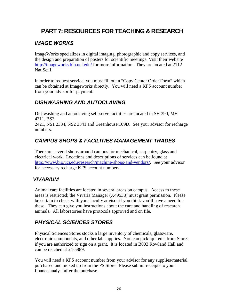## **PART 7: RESOURCES FOR TEACHING & RESEARCH**

### *IMAGE WORKS*

ImageWorks specializes in digital imaging, photographic and copy services, and the design and preparation of posters for scientific meetings. Visit their website <http://imageworks.bio.uci.edu/> for more information. They are located at 2112 Nat Sci I.

In order to request service, you must fill out a "Copy Center Order Form" which can be obtained at Imageworks directly. You will need a KFS account number from your advisor for payment.

### *DISHWASHING AND AUTOCLAVING*

Dishwashing and autoclaving self-serve facilities are located in SH 390, MH 4311, BS3

2421, NS1 2334, NS2 3341 and Greenhouse 109D. See your advisor for recharge numbers.

### *CAMPUS SHOPS & FACILITIES MANAGEMENT TRADES*

There are several shops around campus for mechanical, carpentry, glass and electrical work. Locations and descriptions of services can be found at [http://www.bio.uci.edu/research/machine-shops-and-vendors/.](http://www.bio.uci.edu/research/machine-shops-and-vendors/) See your advisor for necessary recharge KFS account numbers.

#### *VIVARIUM*

Animal care facilities are located in several areas on campus. Access to these areas is restricted; the Vivaria Manager (X49538) must grant permission. Please be certain to check with your faculty advisor if you think you'll have a need for these. They can give you instructions about the care and handling of research animals. All laboratories have protocols approved and on file.

### *PHYSICAL SCIENCES STORES*

Physical Sciences Stores stocks a large inventory of chemicals, glassware, electronic components, and other lab supplies. You can pick up items from Stores if you are authorized to sign on a grant. It is located in B003 Rowland Hall and can be reached at x4-5889.

You will need a KFS account number from your advisor for any supplies/material purchased and picked up from the PS Store. Please submit receipts to your finance analyst after the purchase.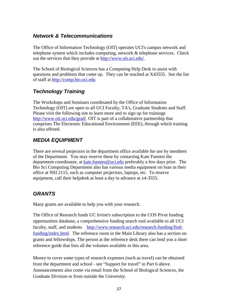#### *Network & Telecommunications*

The Office of Information Technology (OIT) operates UCI's campus network and telephone system which includes computing, network & telephone services. Check out the services that they provide at [http://www.oit.uci.edu/.](http://www.oit.uci.edu/)

The School of Biological Sciences has a Computing Help Desk to assist with questions and problems that come up. They can be reached at X43555. See the list of staff at [http://comp.bio.uci.edu](http://comp.bio.uci.edu/)

### *Technology Training*

The Workshops and Seminars coordinated by the Office of Information Technology (OIT) are open to all UCI Faculty, TA's, Graduate Students and Staff. Please visit the following site to learn more and to sign up for trainings [http://www.oit.uci.edu/grad/.](http://www.oit.uci.edu/grad/) OIT is part of a collaborative partnership that comprises The Electronic Educational Environment (EEE), through which training is also offered.

### *MEDIA EQUIPMENT*

There are several projectors in the department office available for use by members of the Department. You may reserve these by contacting Kate Fuentes the department coordinator, at [kate.fuentes@uci.edu](mailto:romerot@uci.edu) preferably a few days prior. The Bio Sci Computing Department also has various media equipment on loan in their office at NSI 2115, such as computer projectors, laptops, etc. To reserve equipment, call their helpdesk at least a day in advance at x4-3555.

### *GRANTS*

Many grants are available to help you with your research.

The Office of Research funds UC Irvine's subscription to the COS Pivot funding opportunities database, a comprehensive funding search tool available to all UCI faculty, staff, and students [http://www.research.uci.edu/research-funding/find](http://www.research.uci.edu/research-funding/find-funding/index.html)[funding/index.html.](http://www.research.uci.edu/research-funding/find-funding/index.html) The reference room in the Main Library also has a section on grants and fellowships. The person at the reference desk there can lend you a short reference guide that lists all the volumes available in this area.

Money to cover some types of research expenses (such as travel) can be obtained from the department and school - see "Support for travel" in Part 6 above. Announcements also come via email from the School of Biological Sciences, the Graduate Division or from outside the University.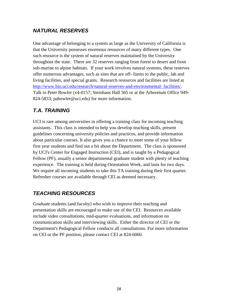### *NATURAL RESERVES*

One advantage of belonging to a system as large as the University of California is that the University possesses enormous resources of many different types. One such resource is the system of natural reserves maintained by the University throughout the state. There are 32 reserves ranging from forest to desert and from sub-marine to alpine habitats. If your work involves natural systems, these reserves offer numerous advantages, such as sites that are off- limits to the public, lab and living facilities, and special grants. Research resources and facilities are listed at [http://www.bio.uci.edu/research/natural-reserves-and-environmental-](http://www.bio.uci.edu/research/natural-reserves-and-environmental-%20facilities/) facilities/. Talk to Peter Bowler (x4-0157; Steinhaus Hall 365 or at the Arboretum Office 949- 824-5833; pabowler@uci.edu) for more information.

### *T.A. TRAINING*

UCI is rare among universities in offering a training class for incoming teaching assistants. This class is intended to help you develop teaching skills, present guidelines concerning university policies and practices, and provide information about particular courses. It also gives you a chance to meet some of your fellow first year students and find out a bit about the Department. The class is sponsored by UCI's Center for Engaged Instruction (CEI), and is taught by a Pedagogical Fellow (PF), usually a senior departmental graduate student with plenty of teaching experience. The training is held during Orientation Week, and lasts for two days. We require all incoming students to take this TA training during their first quarter. Refresher courses are available through CEI as deemed necessary.

## *TEACHING RESOURCES*

Graduate students (and faculty) who wish to improve their teaching and presentation skills are encouraged to make use of the CEI. Resources available include video consultations, mid-quarter evaluations, and information on communication skills and interviewing skills. Either the director of CEI or the Department's Pedagogical Fellow conducts all consultations. For more information on CEI or the PF position, please contact CEI at 824-6060.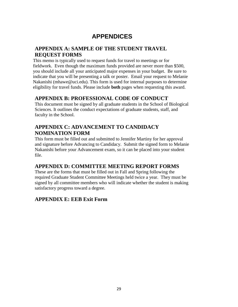## **APPENDICES**

#### **APPENDIX A: SAMPLE OF THE STUDENT TRAVEL REQUEST FORMS**

This memo is typically used to request funds for travel to meetings or for fieldwork. Even though the maximum funds provided are never more than \$500, you should include all your anticipated major expenses in your budget. Be sure to indicate that you will be presenting a talk or poster. Email your request to Melanie Nakanishi (mhawe@uci.edu). This form is used for internal purposes to determine eligibility for travel funds. Please include **both** pages when requesting this award.

#### **APPENDIX B: PROFESSIONAL CODE OF CONDUCT**

This document must be signed by all graduate students in the School of Biological Sciences. It outlines the conduct expectations of graduate students, staff, and faculty in the School.

#### **APPENDIX C: ADVANCEMENT TO CANDIDACY NOMINATION FORM**

This form must be filled out and submitted to Jennifer Martiny for her approval and signature before Advancing to Candidacy. Submit the signed form to Melanie Nakanishi before your Advancement exam, so it can be placed into your student file.

#### **APPENDIX D: COMMITTEE MEETING REPORT FORMS**

These are the forms that must be filled out in Fall and Spring following the required Graduate Student Committee Meetings held twice a year. They must be signed by all committee members who will indicate whether the student is making satisfactory progress toward a degree.

#### **APPENDIX E: EEB Exit Form**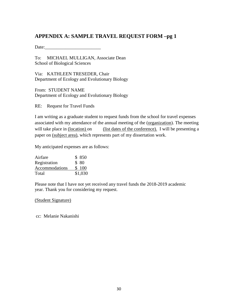#### **APPENDIX A: SAMPLE TRAVEL REQUEST FORM –pg 1**

Date:

To: MICHAEL MULLIGAN, Associate Dean School of Biological Sciences

Via: KATHLEEN TRESEDER, Chair Department of Ecology and Evolutionary Biology

From: STUDENT NAME Department of Ecology and Evolutionary Biology

RE: Request for Travel Funds

I am writing as a graduate student to request funds from the school for travel expenses associated with my attendance of the annual meeting of the (organization). The meeting will take place in (location) on (list dates of the conference). I will be presenting a paper on (subject area), which represents part of my dissertation work.

My anticipated expenses are as follows:

| Airfare        | \$850   |
|----------------|---------|
| Registration   | \$80    |
| Accommodations | \$100   |
| Total          | \$1,030 |

Please note that I have not yet received any travel funds the 2018-2019 academic year. Thank you for considering my request.

#### (Student Signature)

cc: Melanie Nakanishi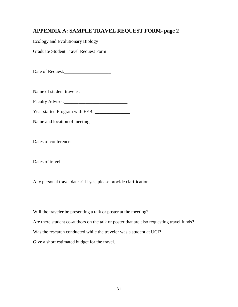#### **APPENDIX A: SAMPLE TRAVEL REQUEST FORM- page 2**

Ecology and Evolutionary Biology

Graduate Student Travel Request Form

Date of Request:\_\_\_\_\_\_\_\_\_\_\_\_\_\_\_\_\_\_\_\_

Name of student traveler:

Faculty Advisor: New York 1988

Year started Program with EEB: \_\_\_\_\_\_\_\_\_\_\_\_\_\_\_

Name and location of meeting:

Dates of conference:

Dates of travel:

Any personal travel dates? If yes, please provide clarification:

Will the traveler be presenting a talk or poster at the meeting? Are there student co-authors on the talk or poster that are also requesting travel funds? Was the research conducted while the traveler was a student at UCI? Give a short estimated budget for the travel.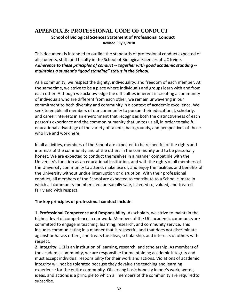#### **APPENDIX B: PROFESSIONAL CODE OF CONDUCT School of Biological Sciences Statement of Professional Conduct Revised July 2, 2018**

This document is intended to outline the standards of professional conduct expected of all students, staff, and faculty in the School of Biological Sciences at UC Irvine. *Adherence to these principles of conduct ‐‐ together with good academic standing ‐‐ maintains a student's "good standing" status in the School.*

As a community, we respect the dignity, individuality, and freedom of each member. At the same time, we strive to be a place where individuals and groups learn with and from each other. Although we acknowledge the difficulties inherent in creating a community of individuals who are different from each other, we remain unwavering in our commitment to both diversity and community in a context of academic excellence. We seek to enable all members of our community to pursue their educational, scholarly, and career interests in an environment that recognizes both the distinctiveness of each person's experience and the common humanity that unites us all, in order to take full educational advantage of the variety of talents, backgrounds, and perspectives of those who live and work here.

In all activities, members of the School are expected to be respectful of the rights and interests of the community and of the others in the community and to be personally honest. We are expected to conduct themselves in a manner compatible with the University's function as an educational institution, and with the rights of all members of the University community to attend, make use of, and enjoy the facilities and benefits of the University without undue interruption or disruption. With their professional conduct, all members of the School are expected to contribute to a School climate in which all community members feel personally safe, listened to, valued, and treated fairly and with respect.

#### **The key principles of professional conduct include:**

**1. Professional Competence and Responsibility:** As scholars, we strive to maintain the highest level of competence in our work. Members of the UCI academic communityare committed to engage in teaching, learning, research, and community service. This includes communicating in a manner that is respectful and that does not discriminate against or harass others, and treats the ideas, scholarship, and interests of others with respect.

**2. Integrity:** UCI is an institution of learning, research, and scholarship. As members of the academic community, we are responsible for maintaining academic integrity and must accept individual responsibility for their work and actions. Violations of academic integrity will not be tolerated because they devalue the teaching and learning experience for the entire community. Observing basic honesty in one's work, words, ideas, and actions is a principle to which all members of the community are requiredto subscribe.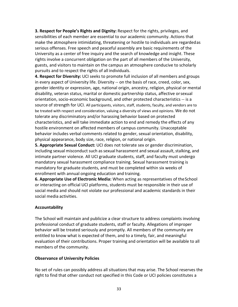**3. Respect for People's Rights and Dignity:** Respect for the rights, privileges, and sensibilities of each member are essential to our academic community. Actions that make the atmosphere intimidating, threatening or hostile to individuals are regardedas serious offenses. Free speech and peaceful assembly are basic requirements of the University as a center of free inquiry and the search of knowledge and insight. These rights involve a concurrent obligation on the part of all members of the University, guests, and visitors to maintain on the campus an atmosphere conducive to scholarly pursuits and to respect the rights of all individuals.

**4. Respect for Diversity:** UCI seeks to promote full inclusion of all members and groups in every aspect of University life. Diversity -- on the basis of race, creed, color, sex, gender identity or expression, age, national origin, ancestry, religion, physical or mental disability, veteran status, marital or domestic partnership status, affective orsexual orientation, socio‐economic background, and other protected characteristics ‐‐ is a source of strength for UCI. All participants, visitors, staff, students, faculty, and vendors are to be treated with respect and consideration, valuing a diversity of views and opinions. We do not tolerate any discriminatory and/or harassing behavior based on protected characteristics, and will take immediate action to end and remedy the effects of any hostile environment on affected members of campus community. Unacceptable behavior includes verbal comments related to gender, sexual orientation, disability, physical appearance, body size, race, religion, or national origin.

**5. Appropriate Sexual Conduct:** UCI does not tolerate sex or gender discrimination, including sexual misconduct such as sexual harassment and sexual assault, stalking, and intimate partner violence. All UCI graduate students, staff, and faculty must undergo mandatory sexual harassment compliance training. Sexual harassment training is mandatory for graduate students, and must be completed within six weeks of enrollment with annual ongoing education and training.

**6. Appropriate Use of Electronic Media:** When acting as representatives of theSchool or interacting on official UCI platforms, students must be responsible in their use of social media and should not violate our professional and academic standards in their social media activities.

#### **Accountability**

The School will maintain and publicize a clear structure to address complaints involving professional conduct of graduate students, staff or faculty. Allegations of improper behavior will be treated seriously and promptly. All members of the community are entitled to know what is expected of them, and to a timely, fair, and meaningful evaluation of their contributions. Proper training and orientation will be available to all members of the community.

#### **Observance of University Policies**

No set of rules can possibly address all situations that may arise. The School reserves the right to find that other conduct not specified in this Code or UCI policies constitutes a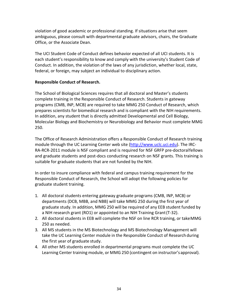violation of good academic or professional standing. If situations arise that seem ambiguous, please consult with departmental graduate advisors, chairs, the Graduate Office, or the Associate Dean.

The UCI Student Code of Conduct defines behavior expected of all UCI students. It is each student's responsibility to know and comply with the university's Student Code of Conduct. In addition, the violation of the laws of any jurisdiction, whether local, state, federal, or foreign, may subject an individual to disciplinary action.

#### **Responsible Conduct of Research.**

The School of Biological Sciences requires that all doctoral and Master's students complete training in the Responsible Conduct of Research. Students in gateway programs (CMB, INP, MCB) are required to take MMG 250 Conduct of Research, which prepares scientists for biomedical research and is compliant with the NIH requirements. In addition, any student that is directly admitted Developmental and Cell Biology, Molecular Biology and Biochemistry or Neurobiology and Behavior must complete MMG 250.

The Office of Research Administration offers a Responsible Conduct of Research training module through the UC Learning Center web site (http://www.uclc.uci.edu). The IRC‐ RA‐RCR‐2011 module is NSF compliant and is required for NSF GRFP pre‐doctoralfellows and graduate students and post‐docs conducting research on NSF grants. This training is suitable for graduate students that are not funded by the NIH.

In order to insure compliance with federal and campus training requirement for the Responsible Conduct of Research, the School will adopt the following policies for graduate student training.

- 1. All doctoral students entering gateway graduate programs (CMB, INP, MCB) or departments (DCB, MBB, and NBB) will take MMG 250 during the first year of graduate study. In addition, MMG 250 will be required of any EEB student funded by a NIH research grant (RO1) or appointed to an NIH Training Grant(T‐32).
- 2. All doctoral students in EEB will complete the NSF on line RCR training, or takeMMG 250 as needed.
- 3. All MS students in the MS Biotechnology and MS Biotechnology Management will take the UC Learning Center module in the Responsible Conduct of Research during the first year of graduate study.
- 4. All other MS students enrolled in departmental programs must complete the UC Learning Center training module, or MMG 250 (contingent on instructor'sapproval).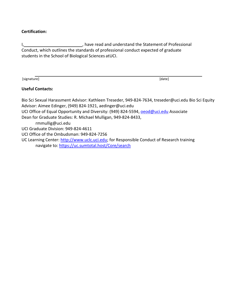#### **Certification:**

I, , have read and understand the Statement of Professional Conduct, which outlines the standards of professional conduct expected of graduate students in the School of Biological Sciences atUCI.

[signature] [date]

#### **Useful Contacts:**

Bio Sci Sexual Harassment Advisor: Kathleen Treseder, 949‐82[4‐7634, treseder@uci.edu](mailto:treseder@uci.edu) Bio Sci Equity Advisor: Aimee Edinger, (949) 824‐1921, [aedinger@uci.edu](mailto:aedinger@uci.edu) UCI Office of Equal Opportunity and Diversity: (949) 824-5594, **oeod@uci.edu** Associate Dean for Graduate Studies: R. Michael Mulligan, 949‐824‐8433, [rmmullig@uci.edu](mailto:rmmullig@uci.edu) UCI Graduate Division: 949‐824‐4611 UCI Office of the Ombudsman: 949‐824‐7256 UC Learning Center: http://www.uclc.uci.edu; for Responsible Conduct of Research training navigate to: https://uc.sumtotal.host/Core/search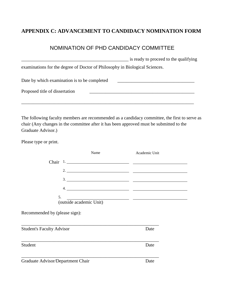### **APPENDIX C: ADVANCEMENT TO CANDIDACY NOMINATION FORM**

### NOMINATION OF PHD CANDIDACY COMMITTEE

|                                                                             | is ready to proceed to the qualifying |
|-----------------------------------------------------------------------------|---------------------------------------|
| examinations for the degree of Doctor of Philosophy in Biological Sciences. |                                       |
| Date by which examination is to be completed                                |                                       |
| Proposed title of dissertation                                              |                                       |
|                                                                             |                                       |

The following faculty members are recommended as a candidacy committee, the first to serve as chair (Any changes in the committee after it has been approved must be submitted to the Graduate Advisor.)

Please type or print.

|                                   | Name | Academic Unit |  |
|-----------------------------------|------|---------------|--|
|                                   |      |               |  |
|                                   |      |               |  |
|                                   |      |               |  |
|                                   |      | $\frac{1}{2}$ |  |
| (outside academic Unit)           |      |               |  |
| Recommended by (please sign):     |      |               |  |
| <b>Student's Faculty Advisor</b>  |      | Date          |  |
| Student                           |      | Date          |  |
| Graduate Advisor/Department Chair |      | Date          |  |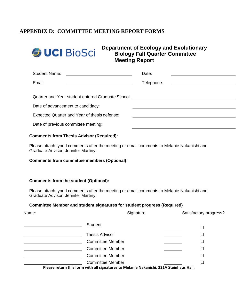#### **APPENDIX D: COMMITTEE MEETING REPORT FORMS**



**Department of Ecology and Evolutionary Biology Fall Quarter Committee Meeting Report**

| <b>Student Name:</b><br><u> 1989 - Andrea State Barbara, político e a contrar a la contrar de la contrar de la contrar de la contrar de l</u> | Date:                                                         |
|-----------------------------------------------------------------------------------------------------------------------------------------------|---------------------------------------------------------------|
| Email:                                                                                                                                        | Telephone:<br><u> 1989 - Andrea Station Barbara (b. 1989)</u> |
|                                                                                                                                               |                                                               |
| Quarter and Year student entered Graduate School: ______________________________                                                              |                                                               |
| Date of advancement to candidacy:                                                                                                             |                                                               |
| Expected Quarter and Year of thesis defense:                                                                                                  |                                                               |
| Date of previous committee meeting:                                                                                                           |                                                               |

#### **Comments from Thesis Advisor (Required):**

Please attach typed comments after the meeting or email comments to Melanie Nakanishi and Graduate Advisor, Jennifer Martiny.

#### **Comments from committee members (Optional):**

#### **Comments from the student (Optional):**

Please attach typed comments after the meeting or email comments to Melanie Nakanishi and Graduate Advisor, Jennifer Martiny.

#### **Committee Member and student signatures for student progress (Required)**

| Name: | Signature                                                                                                        | Satisfactory progress? |
|-------|------------------------------------------------------------------------------------------------------------------|------------------------|
|       | <b>Student</b>                                                                                                   |                        |
|       | <b>Thesis Advisor</b>                                                                                            | $\Box$                 |
|       | <b>Committee Member</b>                                                                                          | $\Box$                 |
|       | <b>Committee Member</b>                                                                                          | $\Box$                 |
|       | <b>Committee Member</b>                                                                                          | □                      |
|       | <b>Committee Member</b><br>Dlasse return this form with all signatures to Melanie Nakanishi, 321A Steinhaus Hall | □                      |

**Please return this form with all signatures to Melanie Nakanishi, 321A Steinhaus Hall.**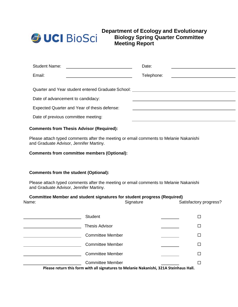

#### **Department of Ecology and Evolutionary Biology Spring Quarter Committee Meeting Report**

| <b>Student Name:</b><br><u> 1989 - Andrea Andrew Maria (h. 1989).</u>                | Date:      |                                                 |
|--------------------------------------------------------------------------------------|------------|-------------------------------------------------|
| Email:                                                                               | Telephone: | <u> 1989 - Andrea Station Barbara (b. 1989)</u> |
|                                                                                      |            |                                                 |
| Quarter and Year student entered Graduate School: New York Channels and Year School: |            |                                                 |
| Date of advancement to candidacy:                                                    |            |                                                 |
| Expected Quarter and Year of thesis defense:                                         |            |                                                 |
| Date of previous committee meeting:                                                  |            |                                                 |

#### **Comments from Thesis Advisor (Required):**

Please attach typed comments after the meeting or email comments to Melanie Nakanishi and Graduate Advisor, Jennifer Martiny.

#### **Comments from committee members (Optional):**

#### **Comments from the student (Optional):**

Please attach typed comments after the meeting or email comments to Melanie Nakanishi and Graduate Advisor, Jennifer Martiny.

#### **Committee Member and student signatures for student progress (Required)**

| Name: | Committee Member and student signatures for student progress (Required)<br>Signature   | Satisfactory progress? |  |
|-------|----------------------------------------------------------------------------------------|------------------------|--|
|       | <b>Student</b>                                                                         | $\Box$                 |  |
|       | <b>Thesis Advisor</b>                                                                  | □                      |  |
|       | <b>Committee Member</b>                                                                | □                      |  |
|       | <b>Committee Member</b>                                                                | □                      |  |
|       | <b>Committee Member</b>                                                                | □                      |  |
|       | <b>Committee Member</b>                                                                | $\Box$                 |  |
|       | Please return this form with all signatures to Melanie Nakanishi, 321A Steinhaus Hall. |                        |  |